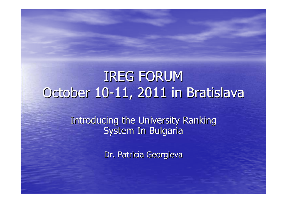# IREG FORUMOctober 10-11, 2011 in Bratislava

Introducing the University Ranking System In Bulgaria

Dr. Patricia Georgieva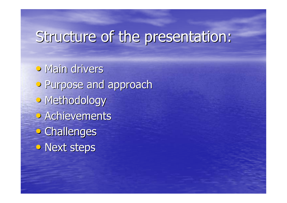# Structure of the presentation:

• Main drivers • Purpose and approach• Methodology • Achievements • Challenges • Next steps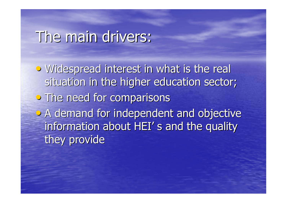## The main drivers:

• Widespread interest in what is the real situation in the higher education sector; **•** The need for comparisons • A demand for independent and objective information about HEI' s and the quality they provide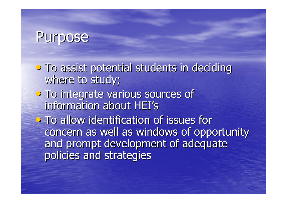### Purpose

**•** To assist potential students in deciding where to study; **• To integrate various sources of** information about HEI's• To allow identification of issues for concern as well as windows of opportunity and prompt development of adequate policies and strategies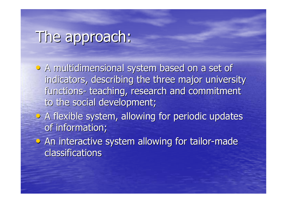## The approach:

• A multidimensional system based on a set of indicators, describing the three major university functions to the social development;-- teaching, research and commitment

- A flexible system, allowing for periodic updates of information;
- An interactive system allowing for tailor-made classifications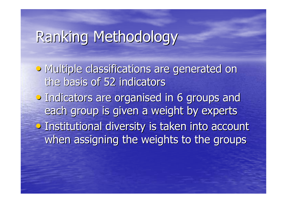# Ranking Methodology

• Multiple classifications are generated on the basis of 52 indicators• Indicators are organised in 6 groups and each group is given a weight by experts• Institutional diversity is taken into account when assigning the weights to the groups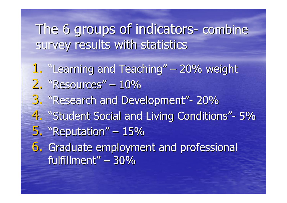#### The 6 groups of indicators survey results with statisticscombine

1. "Learning and Teaching" - 20% weight 2. "Resources" –  $-10%$ 3. "Research and Development"- $-20\%$ 4. "Student Social and Living Conditions"- $-5\%$ 5."Reputation"– $-15%$ 6. Graduate employment and professional fulfillment"– $-30\%$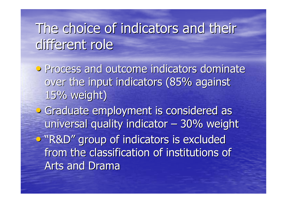## The choice of indicators and their different role

**•** Process and outcome indicators dominate over the input indicators (85% against 15% weight)

• Graduate employment is considered as universal quality indicator  $\cdot$  30% weight •"R&D" group of indicators is excluded from the classification of institutions of Arts and Drama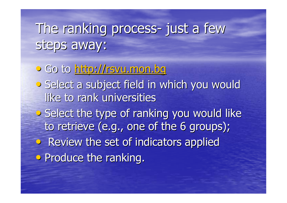#### The ranking process just a few steps away:

• Go to <u>http://rsvu.mon.bg</u> • Select a subject field in which you would like to rank universities• Select the type of ranking you would like to retrieve (e.g., one of the 6 groups);• Review the set of indicators applied **• Produce the ranking.**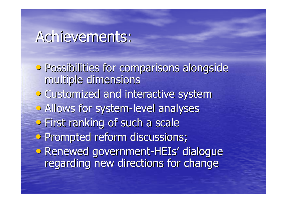### Achievements:

**• Possibilities for comparisons alongside** multiple dimensions• Customized and interactive system• Allows for system-level analyses • First ranking of such a scale • Prompted reform discussions; • Renewed government -HEIs' dialogue regarding new directions for change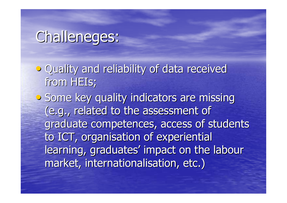### Challeneges:

- Quality and reliability of data received from HEIs;
- **•** Some key quality indicators are missing (e.g., related to the assessment of graduate competences, access of students to ICT, organisation of experiential learning, graduates' impact on the labourmarket, internationalisation, etc.)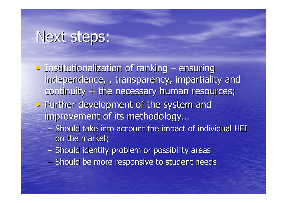## Next steps:

- Institutionalization of ranking ensuring independence, , transparency, impartiality and continuity + the necessary human resources;
- Further development of the system and improvement of its methodology…
	- $-$  Soouig Fave into account toe homes  $-$  Should take into account the impact of individual HEI on the market;
	- $\mathcal{L}_{\mathcal{A}}$  $-$  Should identify problem or possibility areas
	- $\mathcal{L}_{\mathcal{A}}$  $-$  Should be more responsive to student needs